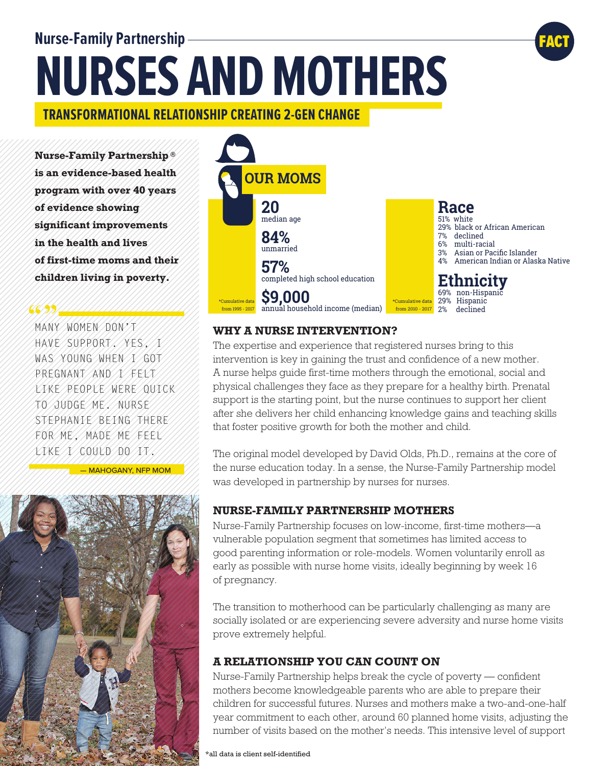# **Nurse-Family Partnership NURSES AND MOTHERS**

### **TRANSFORMATIONAL RELATIONSHIP CREATING 2-GEN CHANGE**

**Nurse-Family Partnership ® is an evidence-based health program with over 40 years of evidence showing significant improvements in the health and lives of first-time moms and their children living in poverty.**

### 66994

MANY WOMEN DON'T HAVE SUPPORT. YES, I WAS YOUNG WHEN I GOT PREGNANT AND I FELT LIKE PEOPLE WERE QUICK TO JUDGE ME. NURSE STEPHANIE BEING THERE FOR ME, MADE ME FEEL LIKE I COULD DO IT.

— MAHOGANY, NFP MOM





FACT

### **WHY A NURSE INTERVENTION?**

The expertise and experience that registered nurses bring to this intervention is key in gaining the trust and confidence of a new mother. A nurse helps guide first-time mothers through the emotional, social and physical challenges they face as they prepare for a healthy birth. Prenatal support is the starting point, but the nurse continues to support her client after she delivers her child enhancing knowledge gains and teaching skills that foster positive growth for both the mother and child.

The original model developed by David Olds, Ph.D., remains at the core of the nurse education today. In a sense, the Nurse-Family Partnership model was developed in partnership by nurses for nurses.

### **NURSE-FAMILY PARTNERSHIP MOTHERS**

Nurse-Family Partnership focuses on low-income, first-time mothers—a vulnerable population segment that sometimes has limited access to good parenting information or role-models. Women voluntarily enroll as early as possible with nurse home visits, ideally beginning by week 16 of pregnancy.

The transition to motherhood can be particularly challenging as many are socially isolated or are experiencing severe adversity and nurse home visits prove extremely helpful.

### **A RELATIONSHIP YOU CAN COUNT ON**

Nurse-Family Partnership helps break the cycle of poverty — confident mothers become knowledgeable parents who are able to prepare their children for successful futures. Nurses and mothers make a two-and-one-half year commitment to each other, around 60 planned home visits, adjusting the number of visits based on the mother's needs. This intensive level of support

\*all data is client self-identified